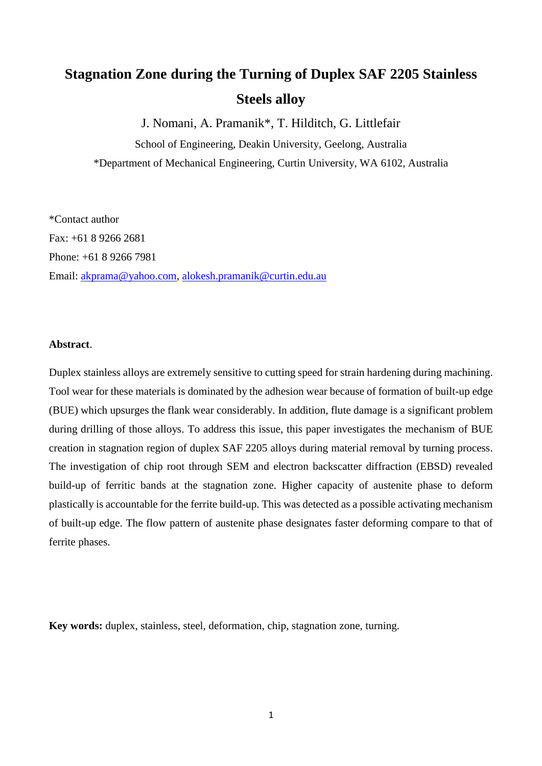# **Stagnation Zone during the Turning of Duplex SAF 2205 Stainless Steels alloy**

J. Nomani, A. Pramanik\*, T. Hilditch, G. Littlefair

School of Engineering, Deakin University, Geelong, Australia \*Department of Mechanical Engineering, Curtin University, WA 6102, Australia

\*Contact author Fax: +61 8 9266 2681 Phone: +61 8 9266 7981 Email: [akprama@yahoo.com,](mailto:akprama@yahoo.com) [alokesh.pramanik@curtin.edu.au](mailto:alokesh.pramanik@curtin.edu.au)

## **Abstract**.

Duplex stainless alloys are extremely sensitive to cutting speed for strain hardening during machining. Tool wear for these materials is dominated by the adhesion wear because of formation of built-up edge (BUE) which upsurges the flank wear considerably. In addition, flute damage is a significant problem during drilling of those alloys. To address this issue, this paper investigates the mechanism of BUE creation in stagnation region of duplex SAF 2205 alloys during material removal by turning process. The investigation of chip root through SEM and electron backscatter diffraction (EBSD) revealed build-up of ferritic bands at the stagnation zone. Higher capacity of austenite phase to deform plastically is accountable for the ferrite build-up. This was detected as a possible activating mechanism of built-up edge. The flow pattern of austenite phase designates faster deforming compare to that of ferrite phases.

**Key words:** duplex, stainless, steel, deformation, chip, stagnation zone, turning.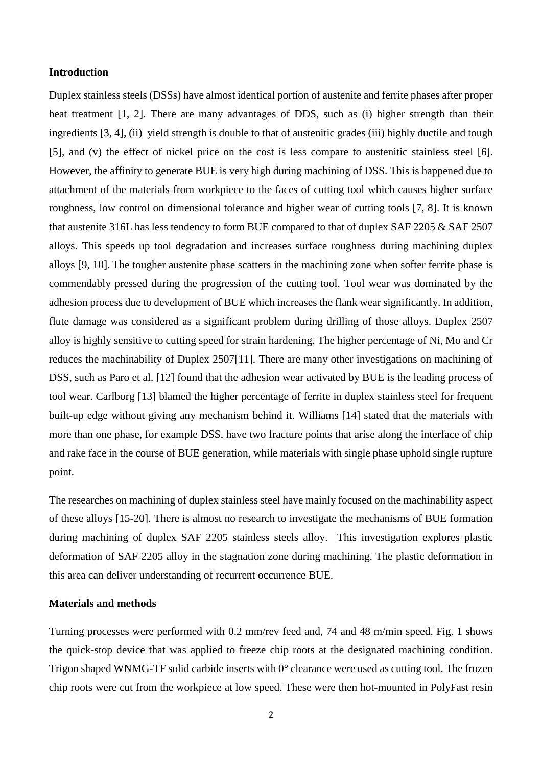### **Introduction**

Duplex stainless steels (DSSs) have almost identical portion of austenite and ferrite phases after proper heat treatment [1, 2]. There are many advantages of DDS, such as (i) higher strength than their ingredients [3, 4], (ii) yield strength is double to that of austenitic grades (iii) highly ductile and tough [5], and (v) the effect of nickel price on the cost is less compare to austenitic stainless steel [6]. However, the affinity to generate BUE is very high during machining of DSS. This is happened due to attachment of the materials from workpiece to the faces of cutting tool which causes higher surface roughness, low control on dimensional tolerance and higher wear of cutting tools [7, 8]. It is known that austenite 316L has less tendency to form BUE compared to that of duplex SAF 2205 & SAF 2507 alloys. This speeds up tool degradation and increases surface roughness during machining duplex alloys [9, 10]. The tougher austenite phase scatters in the machining zone when softer ferrite phase is commendably pressed during the progression of the cutting tool. Tool wear was dominated by the adhesion process due to development of BUE which increases the flank wear significantly. In addition, flute damage was considered as a significant problem during drilling of those alloys. Duplex 2507 alloy is highly sensitive to cutting speed for strain hardening. The higher percentage of Ni, Mo and Cr reduces the machinability of Duplex 2507[11]. There are many other investigations on machining of DSS, such as Paro et al. [12] found that the adhesion wear activated by BUE is the leading process of tool wear. Carlborg [13] blamed the higher percentage of ferrite in duplex stainless steel for frequent built-up edge without giving any mechanism behind it. Williams [14] stated that the materials with more than one phase, for example DSS, have two fracture points that arise along the interface of chip and rake face in the course of BUE generation, while materials with single phase uphold single rupture point.

The researches on machining of duplex stainless steel have mainly focused on the machinability aspect of these alloys [15-20]. There is almost no research to investigate the mechanisms of BUE formation during machining of duplex SAF 2205 stainless steels alloy. This investigation explores plastic deformation of SAF 2205 alloy in the stagnation zone during machining. The plastic deformation in this area can deliver understanding of recurrent occurrence BUE.

# **Materials and methods**

Turning processes were performed with 0.2 mm/rev feed and, 74 and 48 m/min speed. Fig. 1 shows the quick-stop device that was applied to freeze chip roots at the designated machining condition. Trigon shaped WNMG-TF solid carbide inserts with 0° clearance were used as cutting tool. The frozen chip roots were cut from the workpiece at low speed. These were then hot-mounted in PolyFast resin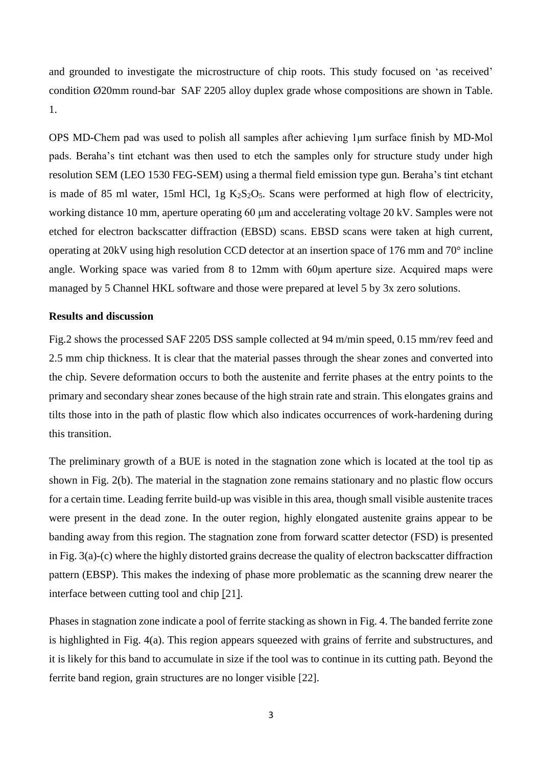and grounded to investigate the microstructure of chip roots. This study focused on 'as received' condition Ø20mm round-bar SAF 2205 alloy duplex grade whose compositions are shown in Table. 1.

OPS MD-Chem pad was used to polish all samples after achieving 1μm surface finish by MD-Mol pads. Beraha's tint etchant was then used to etch the samples only for structure study under high resolution SEM (LEO 1530 FEG-SEM) using a thermal field emission type gun. Beraha's tint etchant is made of 85 ml water, 15ml HCl, 1g  $K_2S_2O_5$ . Scans were performed at high flow of electricity, working distance 10 mm, aperture operating 60 μm and accelerating voltage 20 kV. Samples were not etched for electron backscatter diffraction (EBSD) scans. EBSD scans were taken at high current, operating at 20kV using high resolution CCD detector at an insertion space of 176 mm and 70° incline angle. Working space was varied from 8 to 12mm with 60μm aperture size. Acquired maps were managed by 5 Channel HKL software and those were prepared at level 5 by 3x zero solutions.

## **Results and discussion**

Fig.2 shows the processed SAF 2205 DSS sample collected at 94 m/min speed, 0.15 mm/rev feed and 2.5 mm chip thickness. It is clear that the material passes through the shear zones and converted into the chip. Severe deformation occurs to both the austenite and ferrite phases at the entry points to the primary and secondary shear zones because of the high strain rate and strain. This elongates grains and tilts those into in the path of plastic flow which also indicates occurrences of work-hardening during this transition.

The preliminary growth of a BUE is noted in the stagnation zone which is located at the tool tip as shown in Fig. 2(b). The material in the stagnation zone remains stationary and no plastic flow occurs for a certain time. Leading ferrite build-up was visible in this area, though small visible austenite traces were present in the dead zone. In the outer region, highly elongated austenite grains appear to be banding away from this region. The stagnation zone from forward scatter detector (FSD) is presented in Fig. 3(a)-(c) where the highly distorted grains decrease the quality of electron backscatter diffraction pattern (EBSP). This makes the indexing of phase more problematic as the scanning drew nearer the interface between cutting tool and chip [21].

Phases in stagnation zone indicate a pool of ferrite stacking as shown in Fig. 4. The banded ferrite zone is highlighted in Fig. 4(a). This region appears squeezed with grains of ferrite and substructures, and it is likely for this band to accumulate in size if the tool was to continue in its cutting path. Beyond the ferrite band region, grain structures are no longer visible [22].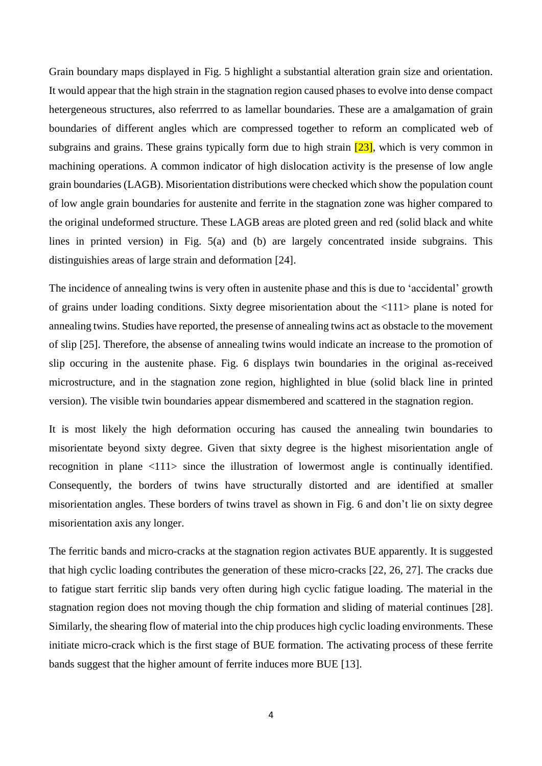Grain boundary maps displayed in Fig. 5 highlight a substantial alteration grain size and orientation. It would appear that the high strain in the stagnation region caused phases to evolve into dense compact hetergeneous structures, also referrred to as lamellar boundaries. These are a amalgamation of grain boundaries of different angles which are compressed together to reform an complicated web of subgrains and grains. These grains typically form due to high strain  $[23]$ , which is very common in machining operations. A common indicator of high dislocation activity is the presense of low angle grain boundaries (LAGB). Misorientation distributions were checked which show the population count of low angle grain boundaries for austenite and ferrite in the stagnation zone was higher compared to the original undeformed structure. These LAGB areas are ploted green and red (solid black and white lines in printed version) in Fig. 5(a) and (b) are largely concentrated inside subgrains. This distinguishies areas of large strain and deformation [24].

The incidence of annealing twins is very often in austenite phase and this is due to 'accidental' growth of grains under loading conditions. Sixty degree misorientation about the <111> plane is noted for annealing twins. Studies have reported, the presense of annealing twins act as obstacle to the movement of slip [25]. Therefore, the absense of annealing twins would indicate an increase to the promotion of slip occuring in the austenite phase. Fig. 6 displays twin boundaries in the original as-received microstructure, and in the stagnation zone region, highlighted in blue (solid black line in printed version). The visible twin boundaries appear dismembered and scattered in the stagnation region.

It is most likely the high deformation occuring has caused the annealing twin boundaries to misorientate beyond sixty degree. Given that sixty degree is the highest misorientation angle of recognition in plane <111> since the illustration of lowermost angle is continually identified. Consequently, the borders of twins have structurally distorted and are identified at smaller misorientation angles. These borders of twins travel as shown in Fig. 6 and don't lie on sixty degree misorientation axis any longer.

The ferritic bands and micro-cracks at the stagnation region activates BUE apparently. It is suggested that high cyclic loading contributes the generation of these micro-cracks [22, 26, 27]. The cracks due to fatigue start ferritic slip bands very often during high cyclic fatigue loading. The material in the stagnation region does not moving though the chip formation and sliding of material continues [28]. Similarly, the shearing flow of material into the chip produces high cyclic loading environments. These initiate micro-crack which is the first stage of BUE formation. The activating process of these ferrite bands suggest that the higher amount of ferrite induces more BUE [13].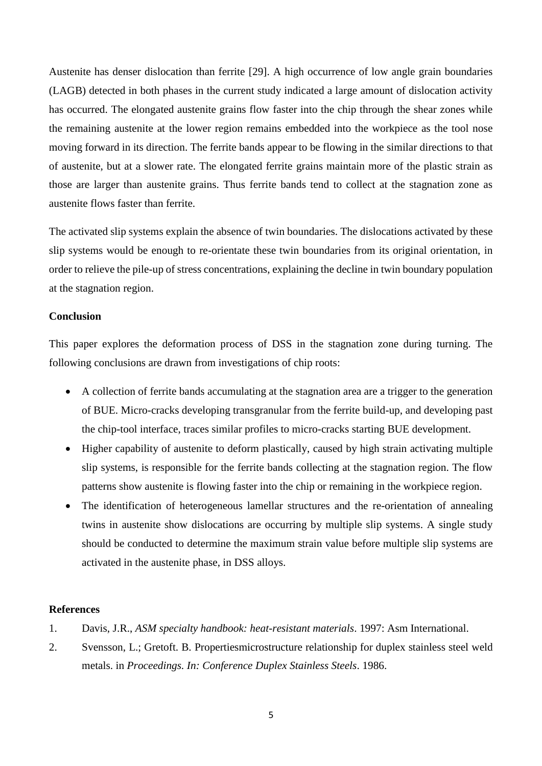Austenite has denser dislocation than ferrite [29]. A high occurrence of low angle grain boundaries (LAGB) detected in both phases in the current study indicated a large amount of dislocation activity has occurred. The elongated austenite grains flow faster into the chip through the shear zones while the remaining austenite at the lower region remains embedded into the workpiece as the tool nose moving forward in its direction. The ferrite bands appear to be flowing in the similar directions to that of austenite, but at a slower rate. The elongated ferrite grains maintain more of the plastic strain as those are larger than austenite grains. Thus ferrite bands tend to collect at the stagnation zone as austenite flows faster than ferrite.

The activated slip systems explain the absence of twin boundaries. The dislocations activated by these slip systems would be enough to re-orientate these twin boundaries from its original orientation, in order to relieve the pile-up of stress concentrations, explaining the decline in twin boundary population at the stagnation region.

# **Conclusion**

This paper explores the deformation process of DSS in the stagnation zone during turning. The following conclusions are drawn from investigations of chip roots:

- A collection of ferrite bands accumulating at the stagnation area are a trigger to the generation of BUE. Micro-cracks developing transgranular from the ferrite build-up, and developing past the chip-tool interface, traces similar profiles to micro-cracks starting BUE development.
- Higher capability of austenite to deform plastically, caused by high strain activating multiple slip systems, is responsible for the ferrite bands collecting at the stagnation region. The flow patterns show austenite is flowing faster into the chip or remaining in the workpiece region.
- The identification of heterogeneous lamellar structures and the re-orientation of annealing twins in austenite show dislocations are occurring by multiple slip systems. A single study should be conducted to determine the maximum strain value before multiple slip systems are activated in the austenite phase, in DSS alloys.

#### **References**

- 1. Davis, J.R., *ASM specialty handbook: heat-resistant materials*. 1997: Asm International.
- 2. Svensson, L.; Gretoft. B. Propertiesmicrostructure relationship for duplex stainless steel weld metals. in *Proceedings. In: Conference Duplex Stainless Steels*. 1986.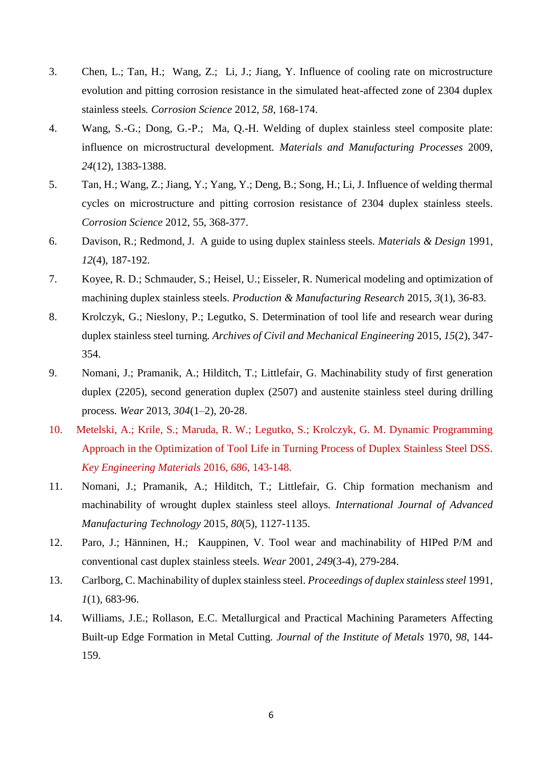- 3. Chen, L.; Tan, H.; Wang, Z.; Li, J.; Jiang, Y. Influence of cooling rate on microstructure evolution and pitting corrosion resistance in the simulated heat-affected zone of 2304 duplex stainless steels*. Corrosion Science* 2012, *58*, 168-174.
- 4. Wang, S.-G.; Dong, G.-P.; Ma, Q.-H. Welding of duplex stainless steel composite plate: influence on microstructural development*. Materials and Manufacturing Processes* 2009, *24*(12), 1383-1388.
- 5. Tan, H.; Wang, Z.; Jiang, Y.; Yang, Y.; Deng, B.; Song, H.; Li, J. Influence of welding thermal cycles on microstructure and pitting corrosion resistance of 2304 duplex stainless steels*. Corrosion Science* 2012, 55, 368-377.
- 6. Davison, R.; Redmond, J. A guide to using duplex stainless steels*. Materials & Design* 1991, *12*(4), 187-192.
- 7. Koyee, R. D.; Schmauder, S.; Heisel, U.; Eisseler, R. Numerical modeling and optimization of machining duplex stainless steels*. Production & Manufacturing Research* 2015, *3*(1), 36-83.
- 8. Krolczyk, G.; Nieslony, P.; Legutko, S. Determination of tool life and research wear during duplex stainless steel turning*. Archives of Civil and Mechanical Engineering* 2015, *15*(2), 347- 354.
- 9. Nomani, J.; Pramanik, A.; Hilditch, T.; Littlefair, G. Machinability study of first generation duplex (2205), second generation duplex (2507) and austenite stainless steel during drilling process*. Wear* 2013, *304*(1–2), 20-28.
- 10. Metelski, A.; Krile, S.; Maruda, R. W.; Legutko, S.; Krolczyk, G. M. Dynamic Programming Approach in the Optimization of Tool Life in Turning Process of Duplex Stainless Steel DSS. *Key Engineering Materials* 2016, *686*, 143-148.
- 11. Nomani, J.; Pramanik, A.; Hilditch, T.; Littlefair, G. Chip formation mechanism and machinability of wrought duplex stainless steel alloys*. International Journal of Advanced Manufacturing Technology* 2015, *80*(5), 1127-1135.
- 12. Paro, J.; Hänninen, H.; Kauppinen, V. Tool wear and machinability of HIPed P/M and conventional cast duplex stainless steels*. Wear* 2001, *249*(3-4), 279-284.
- 13. Carlborg, C. Machinability of duplex stainless steel*. Proceedings of duplex stainless steel* 1991, *1*(1), 683-96.
- 14. Williams, J.E.; Rollason, E.C. Metallurgical and Practical Machining Parameters Affecting Built-up Edge Formation in Metal Cutting*. Journal of the Institute of Metals* 1970, *98*, 144- 159.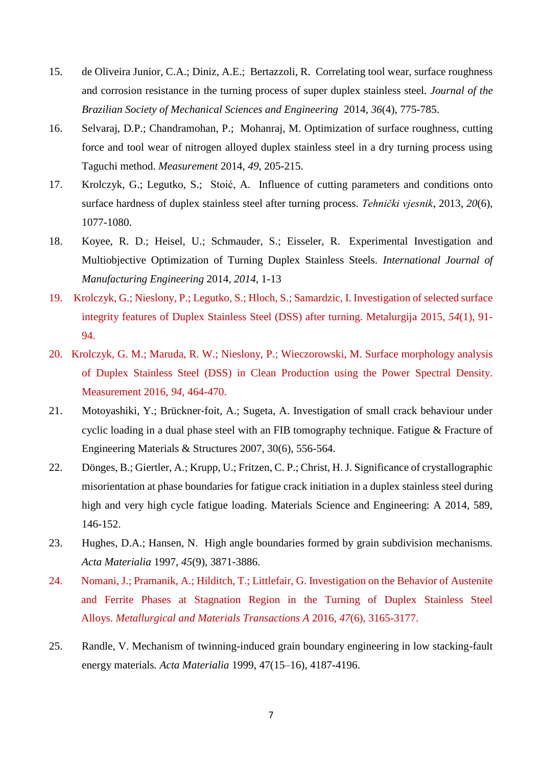- 15. de Oliveira Junior, C.A.; Diniz, A.E.; Bertazzoli, R. Correlating tool wear, surface roughness and corrosion resistance in the turning process of super duplex stainless steel. *Journal of the Brazilian Society of Mechanical Sciences and Engineering* 2014, *36*(4), 775-785.
- 16. Selvaraj, D.P.; Chandramohan, P.; Mohanraj, M. Optimization of surface roughness, cutting force and tool wear of nitrogen alloyed duplex stainless steel in a dry turning process using Taguchi method. *Measurement* 2014, *49*, 205-215.
- 17. Krolczyk, G.; Legutko, S.; Stoić, A. Influence of cutting parameters and conditions onto surface hardness of duplex stainless steel after turning process*. Tehnički vjesnik*, 2013, *20*(6), 1077-1080.
- 18. Koyee, R. D.; Heisel, U.; Schmauder, S.; Eisseler, R. Experimental Investigation and Multiobjective Optimization of Turning Duplex Stainless Steels. *International Journal of Manufacturing Engineering* 2014, *2014*, 1-13
- 19. Krolczyk, G.; Nieslony, P.; Legutko, S.; Hloch, S.; Samardzic, I. Investigation of selected surface integrity features of Duplex Stainless Steel (DSS) after turning. Metalurgija 2015, *54*(1), 91- 94.
- 20. Krolczyk, G. M.; Maruda, R. W.; Nieslony, P.; Wieczorowski, M. Surface morphology analysis of Duplex Stainless Steel (DSS) in Clean Production using the Power Spectral Density. Measurement 2016, *94*, 464-470.
- 21. Motoyashiki, Y.; Brückner‐foit, A.; Sugeta, A. Investigation of small crack behaviour under cyclic loading in a dual phase steel with an FIB tomography technique. Fatigue & Fracture of Engineering Materials & Structures 2007, 30(6), 556-564.
- 22. Dönges, B.; Giertler, A.; Krupp, U.; Fritzen, C. P.; Christ, H. J. Significance of crystallographic misorientation at phase boundaries for fatigue crack initiation in a duplex stainless steel during high and very high cycle fatigue loading. Materials Science and Engineering: A 2014, 589, 146-152.
- 23. Hughes, D.A.; Hansen, N. High angle boundaries formed by grain subdivision mechanisms*. Acta Materialia* 1997, *45*(9), 3871-3886.
- 24. Nomani, J.; Pramanik, A.; Hilditch, T.; Littlefair, G. Investigation on the Behavior of Austenite and Ferrite Phases at Stagnation Region in the Turning of Duplex Stainless Steel Alloys. *Metallurgical and Materials Transactions A* 2016, *47*(6), 3165-3177.
- 25. Randle, V. Mechanism of twinning-induced grain boundary engineering in low stacking-fault energy materials*. Acta Materialia* 1999, 47(15–16), 4187-4196.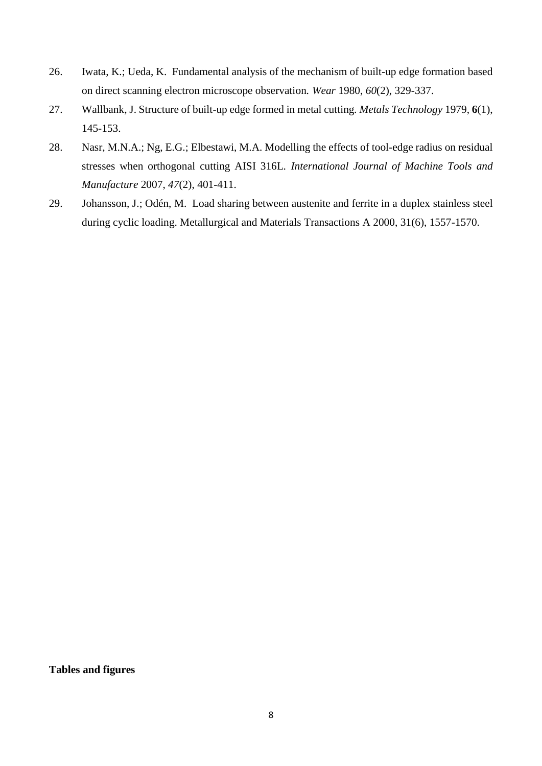- 26. Iwata, K.; Ueda, K. Fundamental analysis of the mechanism of built-up edge formation based on direct scanning electron microscope observation*. Wear* 1980, *60*(2), 329-337.
- 27. Wallbank, J. Structure of built-up edge formed in metal cutting*. Metals Technology* 1979, **6**(1), 145-153.
- 28. Nasr, M.N.A.; Ng, E.G.; Elbestawi, M.A. Modelling the effects of tool-edge radius on residual stresses when orthogonal cutting AISI 316L*. International Journal of Machine Tools and Manufacture* 2007, *47*(2), 401-411.
- 29. Johansson, J.; Odén, M. Load sharing between austenite and ferrite in a duplex stainless steel during cyclic loading. Metallurgical and Materials Transactions A 2000, 31(6), 1557-1570.

**Tables and figures**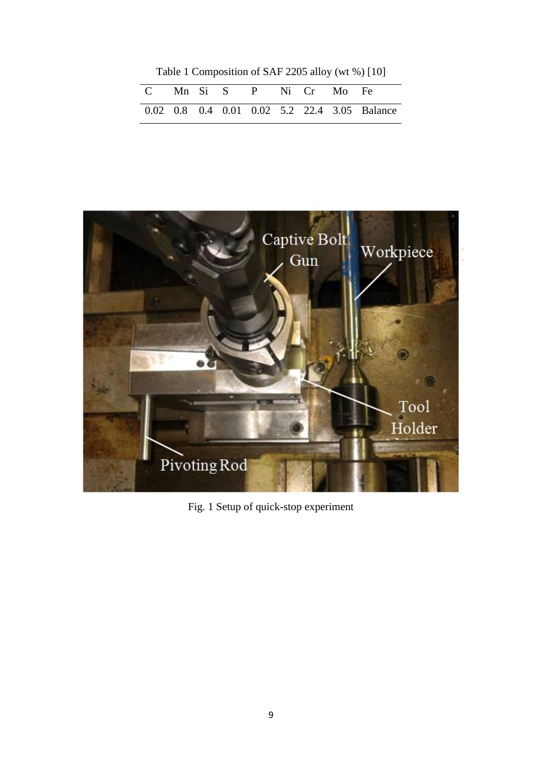Table 1 Composition of SAF 2205 alloy (wt %) [10]

| C Mn Si S P Ni Cr Mo Fe |  |  |  |                                              |
|-------------------------|--|--|--|----------------------------------------------|
|                         |  |  |  | 0.02 0.8 0.4 0.01 0.02 5.2 22.4 3.05 Balance |



Fig. 1 Setup of quick-stop experiment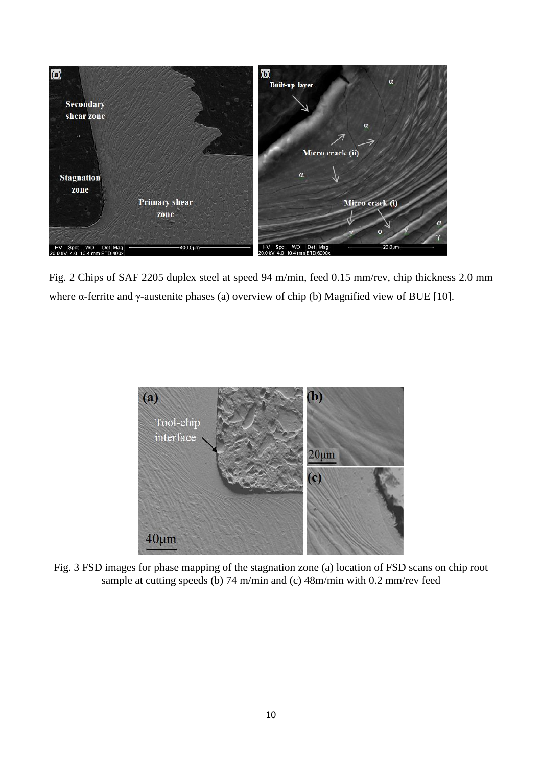

Fig. 2 Chips of SAF 2205 duplex steel at speed 94 m/min, feed 0.15 mm/rev, chip thickness 2.0 mm where α-ferrite and γ-austenite phases (a) overview of chip (b) Magnified view of BUE [10].



Fig. 3 FSD images for phase mapping of the stagnation zone (a) location of FSD scans on chip root sample at cutting speeds (b) 74 m/min and (c) 48m/min with 0.2 mm/rev feed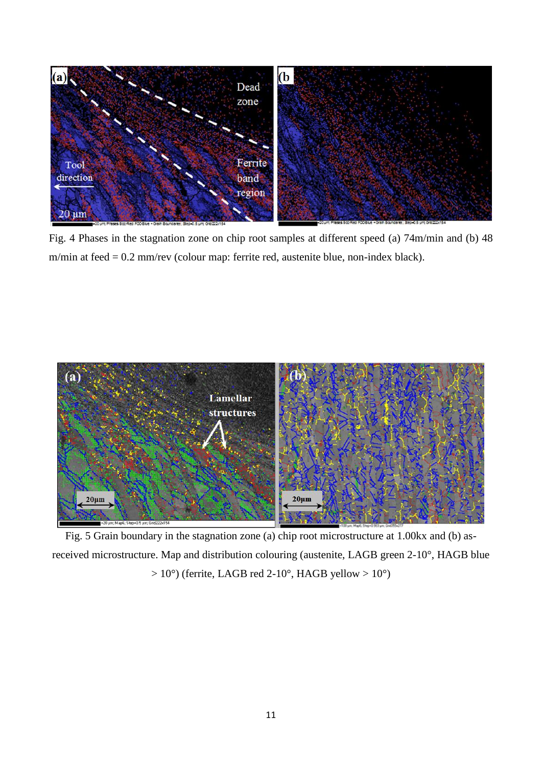

Fig. 4 Phases in the stagnation zone on chip root samples at different speed (a) 74m/min and (b) 48 m/min at feed = 0.2 mm/rev (colour map: ferrite red, austenite blue, non-index black).



Fig. 5 Grain boundary in the stagnation zone (a) chip root microstructure at 1.00kx and (b) asreceived microstructure. Map and distribution colouring (austenite, LAGB green 2-10°, HAGB blue  $> 10^{\circ}$ ) (ferrite, LAGB red 2-10°, HAGB yellow  $> 10^{\circ}$ )